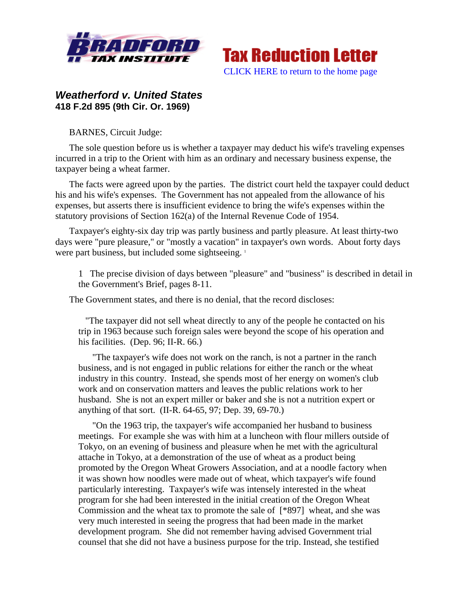



## *Weatherford v. United States*  **418 F.2d 895 (9th Cir. Or. 1969)**

BARNES, Circuit Judge:

The sole question before us is whether a taxpayer may deduct his wife's traveling expenses incurred in a trip to the Orient with him as an ordinary and necessary business expense, the taxpayer being a wheat farmer.

The facts were agreed upon by the parties. The district court held the taxpayer could deduct his and his wife's expenses. The Government has not appealed from the allowance of his expenses, but asserts there is insufficient evidence to bring the wife's expenses within the statutory provisions of Section 162(a) of the Internal Revenue Code of 1954.

Taxpayer's eighty-six day trip was partly business and partly pleasure. At least thirty-two days were "pure pleasure," or "mostly a vacation" in taxpayer's own words. About forty days were part business, but included some sightseeing.<sup>1</sup>

1 The precise division of days between "pleasure" and "business" is described in detail in the Government's Brief, pages 8-11.

The Government states, and there is no denial, that the record discloses:

 "The taxpayer did not sell wheat directly to any of the people he contacted on his trip in 1963 because such foreign sales were beyond the scope of his operation and his facilities. (Dep. 96; II-R. 66.)

"The taxpayer's wife does not work on the ranch, is not a partner in the ranch business, and is not engaged in public relations for either the ranch or the wheat industry in this country. Instead, she spends most of her energy on women's club work and on conservation matters and leaves the public relations work to her husband. She is not an expert miller or baker and she is not a nutrition expert or anything of that sort. (II-R. 64-65, 97; Dep. 39, 69-70.)

"On the 1963 trip, the taxpayer's wife accompanied her husband to business meetings. For example she was with him at a luncheon with flour millers outside of Tokyo, on an evening of business and pleasure when he met with the agricultural attache in Tokyo, at a demonstration of the use of wheat as a product being promoted by the Oregon Wheat Growers Association, and at a noodle factory when it was shown how noodles were made out of wheat, which taxpayer's wife found particularly interesting. Taxpayer's wife was intensely interested in the wheat program for she had been interested in the initial creation of the Oregon Wheat Commission and the wheat tax to promote the sale of [\*897] wheat, and she was very much interested in seeing the progress that had been made in the market development program. She did not remember having advised Government trial counsel that she did not have a business purpose for the trip. Instead, she testified